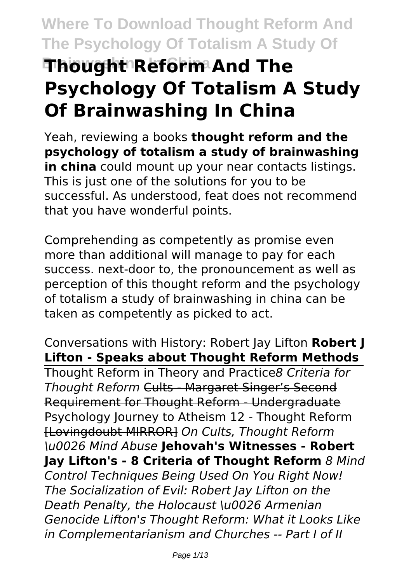# **Thought Reform And The Psychology Of Totalism A Study Of Brainwashing In China**

Yeah, reviewing a books **thought reform and the psychology of totalism a study of brainwashing in china** could mount up your near contacts listings. This is just one of the solutions for you to be successful. As understood, feat does not recommend that you have wonderful points.

Comprehending as competently as promise even more than additional will manage to pay for each success. next-door to, the pronouncement as well as perception of this thought reform and the psychology of totalism a study of brainwashing in china can be taken as competently as picked to act.

Conversations with History: Robert Jay Lifton **Robert J Lifton - Speaks about Thought Reform Methods** Thought Reform in Theory and Practice*8 Criteria for Thought Reform* Cults - Margaret Singer's Second Requirement for Thought Reform - Undergraduate Psychology Journey to Atheism 12 - Thought Reform [Lovingdoubt MIRROR] *On Cults, Thought Reform \u0026 Mind Abuse* **Jehovah's Witnesses - Robert Jay Lifton's - 8 Criteria of Thought Reform** *8 Mind Control Techniques Being Used On You Right Now! The Socialization of Evil: Robert Jay Lifton on the Death Penalty, the Holocaust \u0026 Armenian Genocide Lifton's Thought Reform: What it Looks Like in Complementarianism and Churches -- Part I of II*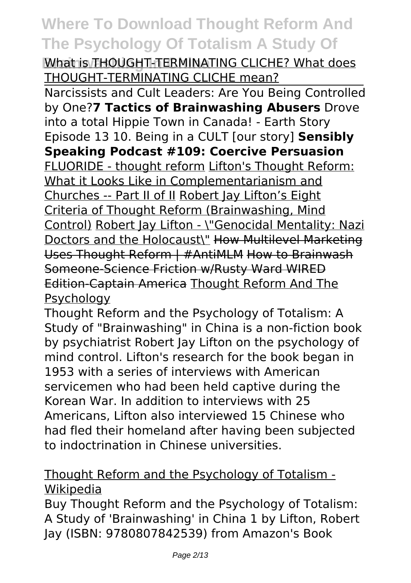**What is THOUGHT-TERMINATING CLICHE? What does** THOUGHT-TERMINATING CLICHE mean?

Narcissists and Cult Leaders: Are You Being Controlled by One?**7 Tactics of Brainwashing Abusers** Drove into a total Hippie Town in Canada! - Earth Story Episode 13 10. Being in a CULT [our story] **Sensibly Speaking Podcast #109: Coercive Persuasion** FLUORIDE - thought reform Lifton's Thought Reform: What it Looks Like in Complementarianism and Churches -- Part II of II Robert Jay Lifton's Eight Criteria of Thought Reform (Brainwashing, Mind Control) Robert Jay Lifton - \"Genocidal Mentality: Nazi Doctors and the Holocaust\" How Multilevel Marketing Uses Thought Reform | #AntiMLM How to Brainwash Someone-Science Friction w/Rusty Ward WIRED Edition-Captain America Thought Reform And The Psychology

Thought Reform and the Psychology of Totalism: A Study of "Brainwashing" in China is a non-fiction book by psychiatrist Robert Jay Lifton on the psychology of mind control. Lifton's research for the book began in 1953 with a series of interviews with American servicemen who had been held captive during the Korean War. In addition to interviews with 25 Americans, Lifton also interviewed 15 Chinese who had fled their homeland after having been subjected to indoctrination in Chinese universities.

#### Thought Reform and the Psychology of Totalism - Wikipedia

Buy Thought Reform and the Psychology of Totalism: A Study of 'Brainwashing' in China 1 by Lifton, Robert Jay (ISBN: 9780807842539) from Amazon's Book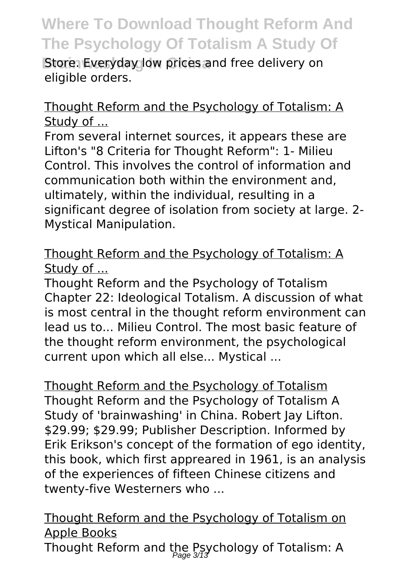**Brange. Everyday low prices and free delivery on** eligible orders.

#### Thought Reform and the Psychology of Totalism: A Study of ...

From several internet sources, it appears these are Lifton's "8 Criteria for Thought Reform": 1- Milieu Control. This involves the control of information and communication both within the environment and, ultimately, within the individual, resulting in a significant degree of isolation from society at large. 2- Mystical Manipulation.

#### Thought Reform and the Psychology of Totalism: A Study of ...

Thought Reform and the Psychology of Totalism Chapter 22: Ideological Totalism. A discussion of what is most central in the thought reform environment can lead us to... Milieu Control. The most basic feature of the thought reform environment, the psychological current upon which all else... Mystical ...

Thought Reform and the Psychology of Totalism Thought Reform and the Psychology of Totalism A Study of 'brainwashing' in China. Robert lay Lifton. \$29.99; \$29.99; Publisher Description. Informed by Erik Erikson's concept of the formation of ego identity, this book, which first appreared in 1961, is an analysis of the experiences of fifteen Chinese citizens and twenty-five Westerners who ...

### Thought Reform and the Psychology of Totalism on Apple Books Thought Reform and the Psychology of Totalism: A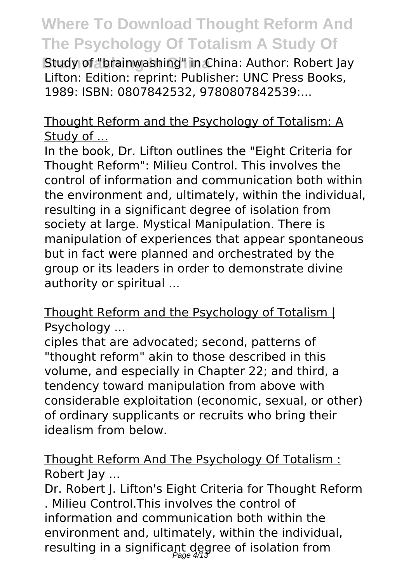**Brudy of "brainwashing" in China: Author: Robert Jay** Lifton: Edition: reprint: Publisher: UNC Press Books, 1989: ISBN: 0807842532, 9780807842539:...

#### Thought Reform and the Psychology of Totalism: A Study of ...

In the book, Dr. Lifton outlines the "Eight Criteria for Thought Reform": Milieu Control. This involves the control of information and communication both within the environment and, ultimately, within the individual, resulting in a significant degree of isolation from society at large. Mystical Manipulation. There is manipulation of experiences that appear spontaneous but in fact were planned and orchestrated by the group or its leaders in order to demonstrate divine authority or spiritual ...

#### Thought Reform and the Psychology of Totalism | Psychology ...

ciples that are advocated; second, patterns of "thought reform" akin to those described in this volume, and especially in Chapter 22; and third, a tendency toward manipulation from above with considerable exploitation (economic, sexual, or other) of ordinary supplicants or recruits who bring their idealism from below.

#### Thought Reform And The Psychology Of Totalism : Robert lav ...

Dr. Robert J. Lifton's Eight Criteria for Thought Reform . Milieu Control.This involves the control of information and communication both within the environment and, ultimately, within the individual, resulting in a significant degree of isolation from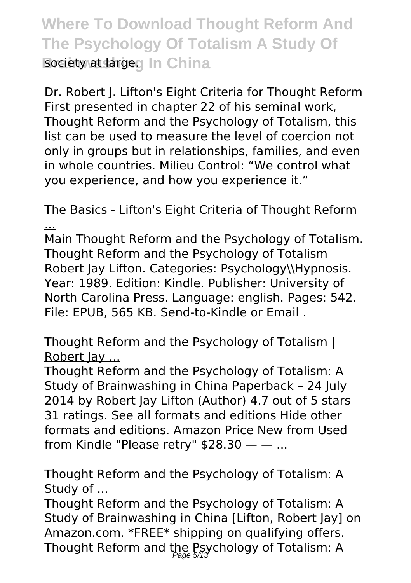### **Where To Download Thought Reform And The Psychology Of Totalism A Study Of Bociety at larged In China**

Dr. Robert J. Lifton's Eight Criteria for Thought Reform First presented in chapter 22 of his seminal work, Thought Reform and the Psychology of Totalism, this list can be used to measure the level of coercion not only in groups but in relationships, families, and even in whole countries. Milieu Control: "We control what you experience, and how you experience it."

### The Basics - Lifton's Eight Criteria of Thought Reform ...

Main Thought Reform and the Psychology of Totalism. Thought Reform and the Psychology of Totalism Robert Jay Lifton. Categories: Psychology\\Hypnosis. Year: 1989. Edition: Kindle. Publisher: University of North Carolina Press. Language: english. Pages: 542. File: EPUB, 565 KB. Send-to-Kindle or Email .

#### Thought Reform and the Psychology of Totalism | Robert lav ...

Thought Reform and the Psychology of Totalism: A Study of Brainwashing in China Paperback – 24 July 2014 by Robert Jay Lifton (Author) 4.7 out of 5 stars 31 ratings. See all formats and editions Hide other formats and editions. Amazon Price New from Used from Kindle "Please retry"  $$28.30 - -$  ...

#### Thought Reform and the Psychology of Totalism: A Study of ...

Thought Reform and the Psychology of Totalism: A Study of Brainwashing in China [Lifton, Robert Jay] on Amazon.com. \*FREE\* shipping on qualifying offers. Thought Reform and the Psychology of Totalism: A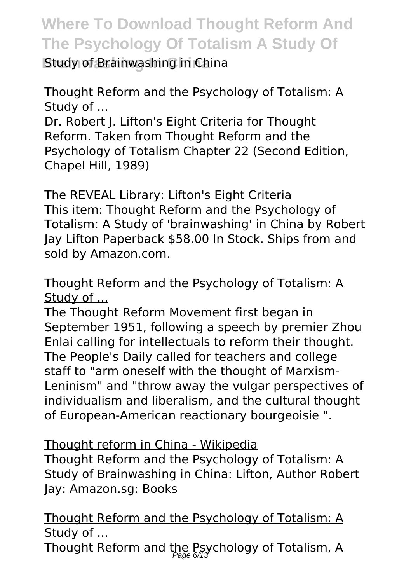**Brainwashing in China** 

#### Thought Reform and the Psychology of Totalism: A Study of ...

Dr. Robert J. Lifton's Eight Criteria for Thought Reform. Taken from Thought Reform and the Psychology of Totalism Chapter 22 (Second Edition, Chapel Hill, 1989)

The REVEAL Library: Lifton's Eight Criteria This item: Thought Reform and the Psychology of Totalism: A Study of 'brainwashing' in China by Robert Jay Lifton Paperback \$58.00 In Stock. Ships from and sold by Amazon.com.

#### Thought Reform and the Psychology of Totalism: A Study of ...

The Thought Reform Movement first began in September 1951, following a speech by premier Zhou Enlai calling for intellectuals to reform their thought. The People's Daily called for teachers and college staff to "arm oneself with the thought of Marxism-Leninism" and "throw away the vulgar perspectives of individualism and liberalism, and the cultural thought of European-American reactionary bourgeoisie ".

#### Thought reform in China - Wikipedia

Thought Reform and the Psychology of Totalism: A Study of Brainwashing in China: Lifton, Author Robert Jay: Amazon.sg: Books

#### Thought Reform and the Psychology of Totalism: A Study of ...

Thought Reform and the Psychology of Totalism, A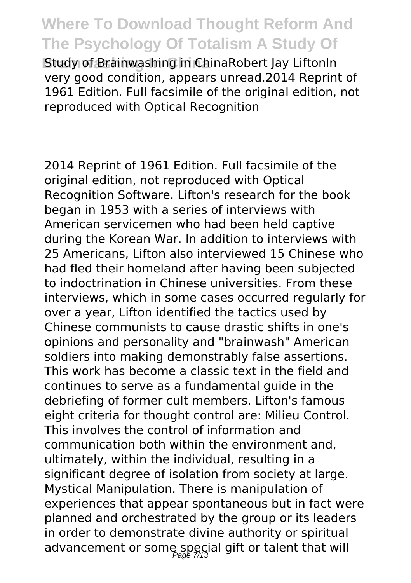**Brandy of Brainwashing in ChinaRobert Jay LiftonIn** very good condition, appears unread.2014 Reprint of 1961 Edition. Full facsimile of the original edition, not reproduced with Optical Recognition

2014 Reprint of 1961 Edition. Full facsimile of the original edition, not reproduced with Optical Recognition Software. Lifton's research for the book began in 1953 with a series of interviews with American servicemen who had been held captive during the Korean War. In addition to interviews with 25 Americans, Lifton also interviewed 15 Chinese who had fled their homeland after having been subjected to indoctrination in Chinese universities. From these interviews, which in some cases occurred regularly for over a year, Lifton identified the tactics used by Chinese communists to cause drastic shifts in one's opinions and personality and "brainwash" American soldiers into making demonstrably false assertions. This work has become a classic text in the field and continues to serve as a fundamental guide in the debriefing of former cult members. Lifton's famous eight criteria for thought control are: Milieu Control. This involves the control of information and communication both within the environment and, ultimately, within the individual, resulting in a significant degree of isolation from society at large. Mystical Manipulation. There is manipulation of experiences that appear spontaneous but in fact were planned and orchestrated by the group or its leaders in order to demonstrate divine authority or spiritual advancement or some special gift or talent that will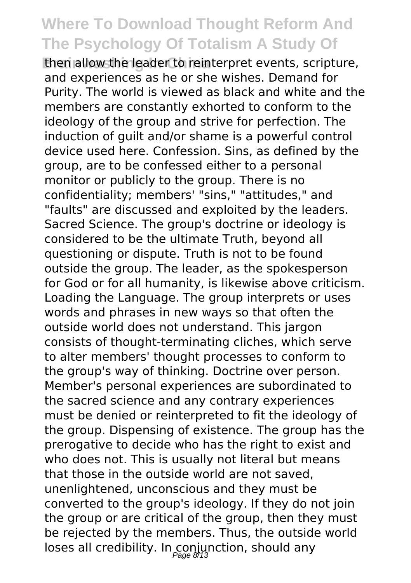**Ehen allow the leader to reinterpret events, scripture,** and experiences as he or she wishes. Demand for Purity. The world is viewed as black and white and the members are constantly exhorted to conform to the ideology of the group and strive for perfection. The induction of guilt and/or shame is a powerful control device used here. Confession. Sins, as defined by the group, are to be confessed either to a personal monitor or publicly to the group. There is no confidentiality; members' "sins," "attitudes," and "faults" are discussed and exploited by the leaders. Sacred Science. The group's doctrine or ideology is considered to be the ultimate Truth, beyond all questioning or dispute. Truth is not to be found outside the group. The leader, as the spokesperson for God or for all humanity, is likewise above criticism. Loading the Language. The group interprets or uses words and phrases in new ways so that often the outside world does not understand. This jargon consists of thought-terminating cliches, which serve to alter members' thought processes to conform to the group's way of thinking. Doctrine over person. Member's personal experiences are subordinated to the sacred science and any contrary experiences must be denied or reinterpreted to fit the ideology of the group. Dispensing of existence. The group has the prerogative to decide who has the right to exist and who does not. This is usually not literal but means that those in the outside world are not saved, unenlightened, unconscious and they must be converted to the group's ideology. If they do not join the group or are critical of the group, then they must be rejected by the members. Thus, the outside world loses all credibility. In conjunction, should any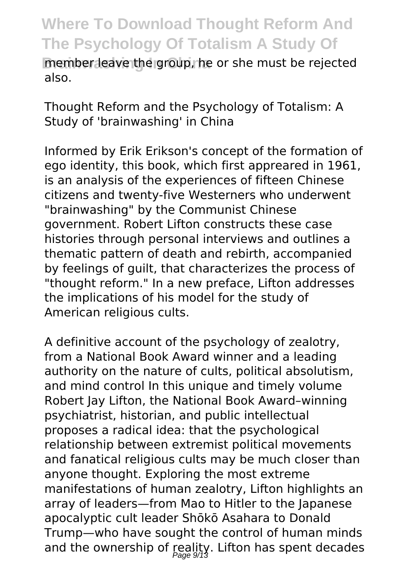**Brandber leave the group, he or she must be rejected** also.

Thought Reform and the Psychology of Totalism: A Study of 'brainwashing' in China

Informed by Erik Erikson's concept of the formation of ego identity, this book, which first appreared in 1961, is an analysis of the experiences of fifteen Chinese citizens and twenty-five Westerners who underwent "brainwashing" by the Communist Chinese government. Robert Lifton constructs these case histories through personal interviews and outlines a thematic pattern of death and rebirth, accompanied by feelings of guilt, that characterizes the process of "thought reform." In a new preface, Lifton addresses the implications of his model for the study of American religious cults.

A definitive account of the psychology of zealotry, from a National Book Award winner and a leading authority on the nature of cults, political absolutism, and mind control In this unique and timely volume Robert Jay Lifton, the National Book Award–winning psychiatrist, historian, and public intellectual proposes a radical idea: that the psychological relationship between extremist political movements and fanatical religious cults may be much closer than anyone thought. Exploring the most extreme manifestations of human zealotry, Lifton highlights an array of leaders—from Mao to Hitler to the Japanese apocalyptic cult leader Shōkō Asahara to Donald Trump—who have sought the control of human minds and the ownership of reality. Lifton has spent decades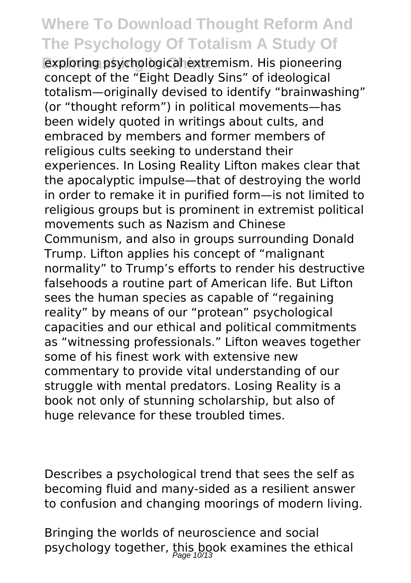**Branching psychological extremism. His pioneering exploring psychological extremism.** concept of the "Eight Deadly Sins" of ideological totalism—originally devised to identify "brainwashing" (or "thought reform") in political movements—has been widely quoted in writings about cults, and embraced by members and former members of religious cults seeking to understand their experiences. In Losing Reality Lifton makes clear that the apocalyptic impulse—that of destroying the world in order to remake it in purified form—is not limited to religious groups but is prominent in extremist political movements such as Nazism and Chinese Communism, and also in groups surrounding Donald Trump. Lifton applies his concept of "malignant normality" to Trump's efforts to render his destructive falsehoods a routine part of American life. But Lifton sees the human species as capable of "regaining reality" by means of our "protean" psychological capacities and our ethical and political commitments as "witnessing professionals." Lifton weaves together some of his finest work with extensive new commentary to provide vital understanding of our struggle with mental predators. Losing Reality is a book not only of stunning scholarship, but also of huge relevance for these troubled times.

Describes a psychological trend that sees the self as becoming fluid and many-sided as a resilient answer to confusion and changing moorings of modern living.

Bringing the worlds of neuroscience and social psychology together, this book examines the ethical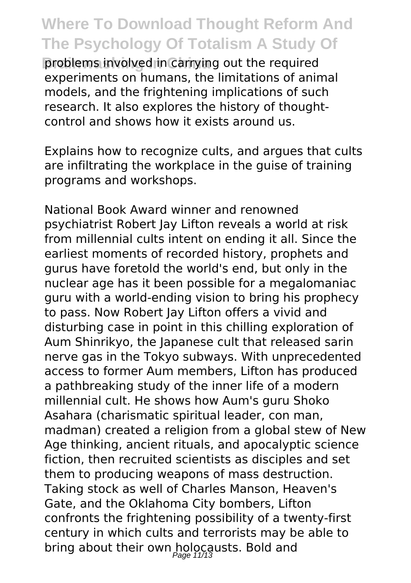**Broblems involved in Carrying out the required** experiments on humans, the limitations of animal models, and the frightening implications of such research. It also explores the history of thoughtcontrol and shows how it exists around us.

Explains how to recognize cults, and argues that cults are infiltrating the workplace in the guise of training programs and workshops.

National Book Award winner and renowned psychiatrist Robert Jay Lifton reveals a world at risk from millennial cults intent on ending it all. Since the earliest moments of recorded history, prophets and gurus have foretold the world's end, but only in the nuclear age has it been possible for a megalomaniac guru with a world-ending vision to bring his prophecy to pass. Now Robert Jay Lifton offers a vivid and disturbing case in point in this chilling exploration of Aum Shinrikyo, the Japanese cult that released sarin nerve gas in the Tokyo subways. With unprecedented access to former Aum members, Lifton has produced a pathbreaking study of the inner life of a modern millennial cult. He shows how Aum's guru Shoko Asahara (charismatic spiritual leader, con man, madman) created a religion from a global stew of New Age thinking, ancient rituals, and apocalyptic science fiction, then recruited scientists as disciples and set them to producing weapons of mass destruction. Taking stock as well of Charles Manson, Heaven's Gate, and the Oklahoma City bombers, Lifton confronts the frightening possibility of a twenty-first century in which cults and terrorists may be able to bring about their own holocausts. Bold and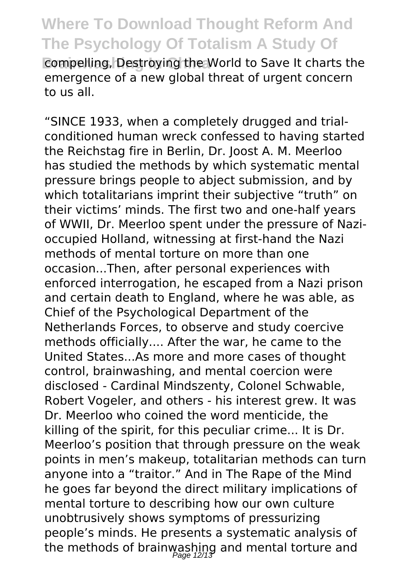**Brangelling, Destroying the World to Save It charts the** emergence of a new global threat of urgent concern to us all.

"SINCE 1933, when a completely drugged and trialconditioned human wreck confessed to having started the Reichstag fire in Berlin, Dr. Joost A. M. Meerloo has studied the methods by which systematic mental pressure brings people to abject submission, and by which totalitarians imprint their subjective "truth" on their victims' minds. The first two and one-half years of WWII, Dr. Meerloo spent under the pressure of Nazioccupied Holland, witnessing at first-hand the Nazi methods of mental torture on more than one occasion...Then, after personal experiences with enforced interrogation, he escaped from a Nazi prison and certain death to England, where he was able, as Chief of the Psychological Department of the Netherlands Forces, to observe and study coercive methods officially.... After the war, he came to the United States...As more and more cases of thought control, brainwashing, and mental coercion were disclosed - Cardinal Mindszenty, Colonel Schwable, Robert Vogeler, and others - his interest grew. It was Dr. Meerloo who coined the word menticide, the killing of the spirit, for this peculiar crime... It is Dr. Meerloo's position that through pressure on the weak points in men's makeup, totalitarian methods can turn anyone into a "traitor." And in The Rape of the Mind he goes far beyond the direct military implications of mental torture to describing how our own culture unobtrusively shows symptoms of pressurizing people's minds. He presents a systematic analysis of the methods of brainwashing and mental torture and